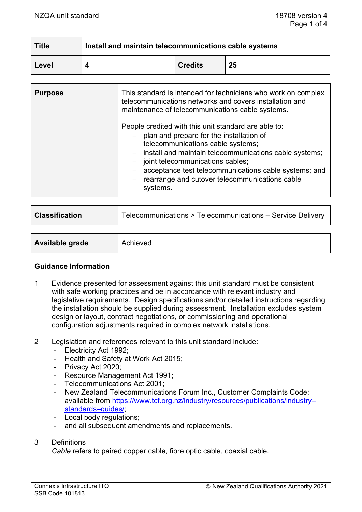| <b>Title</b> | Install and maintain telecommunications cable systems |                |    |
|--------------|-------------------------------------------------------|----------------|----|
| Level        |                                                       | <b>Credits</b> | 25 |

| <b>Purpose</b> | This standard is intended for technicians who work on complex<br>telecommunications networks and covers installation and<br>maintenance of telecommunications cable systems.                                                                                                                                                                                       |  |
|----------------|--------------------------------------------------------------------------------------------------------------------------------------------------------------------------------------------------------------------------------------------------------------------------------------------------------------------------------------------------------------------|--|
|                | People credited with this unit standard are able to:<br>- plan and prepare for the installation of<br>telecommunications cable systems;<br>- install and maintain telecommunications cable systems;<br>- joint telecommunications cables;<br>acceptance test telecommunications cable systems; and<br>- rearrange and cutover telecommunications cable<br>systems. |  |

| <b>Classification</b>  | Telecommunications > Telecommunications - Service Delivery |  |
|------------------------|------------------------------------------------------------|--|
|                        |                                                            |  |
| <b>Available grade</b> | Achieved                                                   |  |

#### **Guidance Information**

- 1 Evidence presented for assessment against this unit standard must be consistent with safe working practices and be in accordance with relevant industry and legislative requirements. Design specifications and/or detailed instructions regarding the installation should be supplied during assessment. Installation excludes system design or layout, contract negotiations, or commissioning and operational configuration adjustments required in complex network installations.
- 2 Legislation and references relevant to this unit standard include:
	- Electricity Act 1992;
	- Health and Safety at Work Act 2015;
	- Privacy Act 2020;
	- Resource Management Act 1991;
	- Telecommunications Act 2001;<br>- New Zealand Telecommunication
	- New Zealand Telecommunications Forum Inc., Customer Complaints Code; available from [https://www.tcf.org.nz/industry/resources/publications/industry–](https://www.tcf.org.nz/industry/resources/publications/industry-standards-guides/) [standards–guides/;](https://www.tcf.org.nz/industry/resources/publications/industry-standards-guides/)
	- Local body regulations;
	- and all subsequent amendments and replacements.

#### 3 Definitions

*Cable* refers to paired copper cable, fibre optic cable, coaxial cable.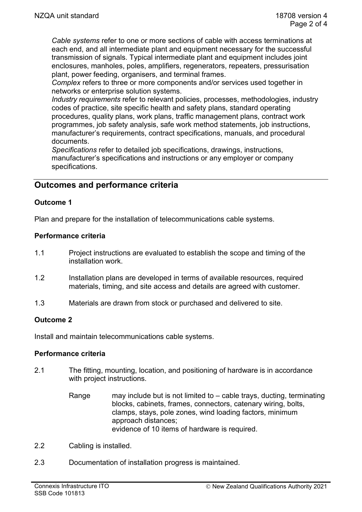*Cable systems* refer to one or more sections of cable with access terminations at each end, and all intermediate plant and equipment necessary for the successful transmission of signals. Typical intermediate plant and equipment includes joint enclosures, manholes, poles, amplifiers, regenerators, repeaters, pressurisation plant, power feeding, organisers, and terminal frames.

*Complex* refers to three or more components and/or services used together in networks or enterprise solution systems.

*Industry requirements* refer to relevant policies, processes, methodologies, industry codes of practice, site specific health and safety plans, standard operating procedures, quality plans, work plans, traffic management plans, contract work programmes, job safety analysis, safe work method statements, job instructions, manufacturer's requirements, contract specifications, manuals, and procedural documents.

*Specifications* refer to detailed job specifications, drawings, instructions, manufacturer's specifications and instructions or any employer or company specifications.

# **Outcomes and performance criteria**

### **Outcome 1**

Plan and prepare for the installation of telecommunications cable systems.

### **Performance criteria**

- 1.1 Project instructions are evaluated to establish the scope and timing of the installation work.
- 1.2 Installation plans are developed in terms of available resources, required materials, timing, and site access and details are agreed with customer.
- 1.3 Materials are drawn from stock or purchased and delivered to site.

### **Outcome 2**

Install and maintain telecommunications cable systems.

### **Performance criteria**

- 2.1 The fitting, mounting, location, and positioning of hardware is in accordance with project instructions.
	- Range may include but is not limited to cable trays, ducting, terminating blocks, cabinets, frames, connectors, catenary wiring, bolts, clamps, stays, pole zones, wind loading factors, minimum approach distances; evidence of 10 items of hardware is required.
- 2.2 Cabling is installed.
- 2.3 Documentation of installation progress is maintained.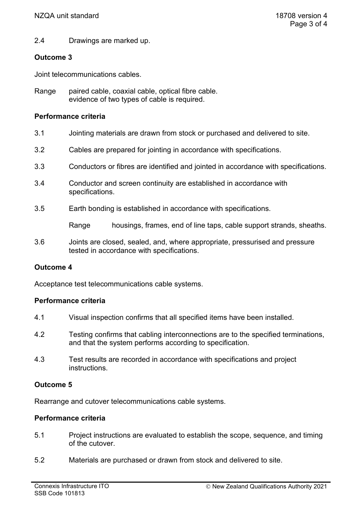2.4 Drawings are marked up.

# **Outcome 3**

Joint telecommunications cables.

Range paired cable, coaxial cable, optical fibre cable. evidence of two types of cable is required.

### **Performance criteria**

- 3.1 Jointing materials are drawn from stock or purchased and delivered to site.
- 3.2 Cables are prepared for jointing in accordance with specifications.
- 3.3 Conductors or fibres are identified and jointed in accordance with specifications.
- 3.4 Conductor and screen continuity are established in accordance with specifications.
- 3.5 Earth bonding is established in accordance with specifications.

Range housings, frames, end of line taps, cable support strands, sheaths.

3.6 Joints are closed, sealed, and, where appropriate, pressurised and pressure tested in accordance with specifications.

# **Outcome 4**

Acceptance test telecommunications cable systems.

### **Performance criteria**

- 4.1 Visual inspection confirms that all specified items have been installed.
- 4.2 Testing confirms that cabling interconnections are to the specified terminations, and that the system performs according to specification.
- 4.3 Test results are recorded in accordance with specifications and project instructions.

# **Outcome 5**

Rearrange and cutover telecommunications cable systems.

### **Performance criteria**

- 5.1 Project instructions are evaluated to establish the scope, sequence, and timing of the cutover.
- 5.2 Materials are purchased or drawn from stock and delivered to site.